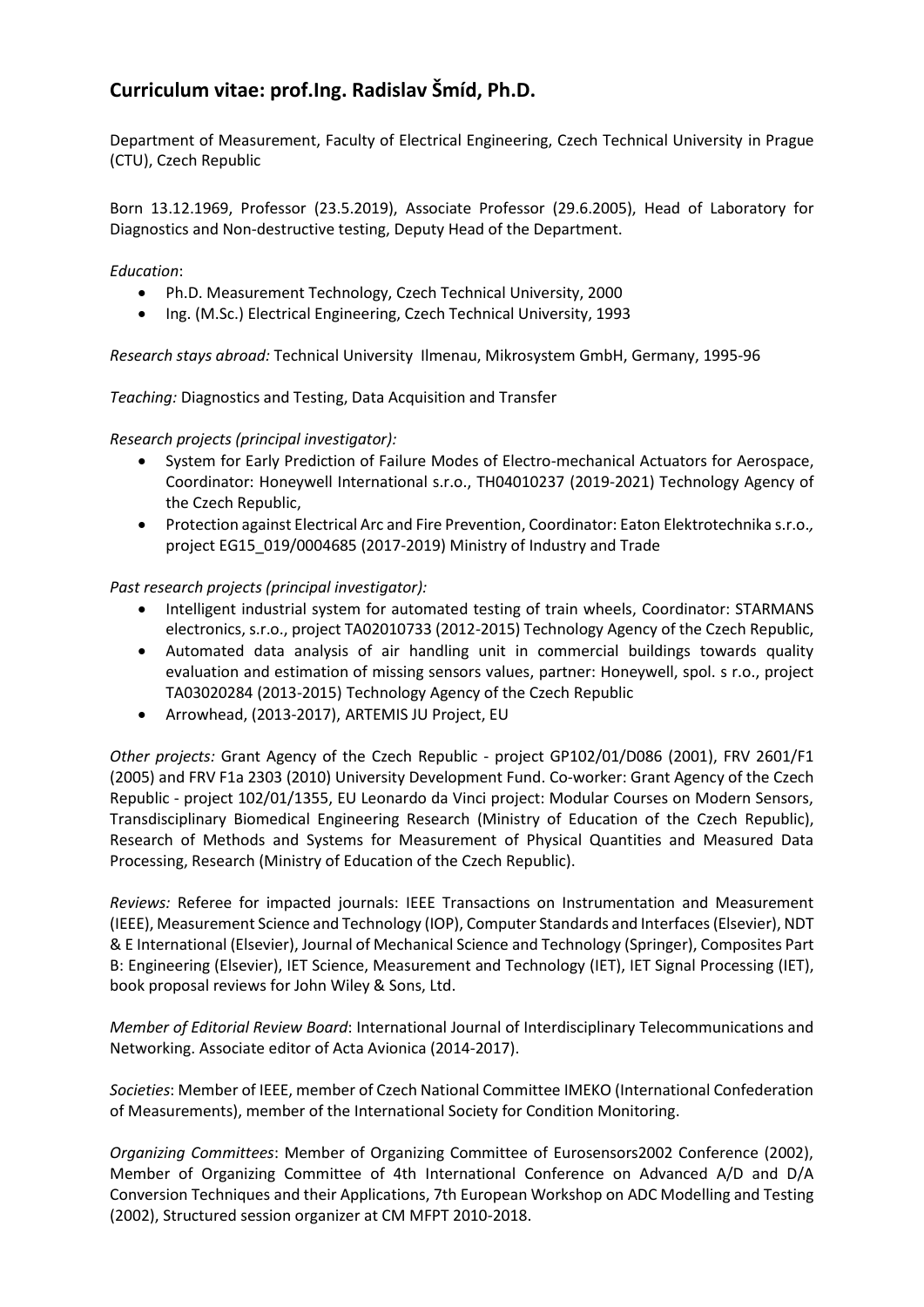## **Curriculum vitae: prof.Ing. Radislav Šmíd, Ph.D.**

Department of Measurement, Faculty of Electrical Engineering, Czech Technical University in Prague (CTU), Czech Republic

Born 13.12.1969, Professor (23.5.2019), Associate Professor (29.6.2005), Head of Laboratory for Diagnostics and Non-destructive testing, Deputy Head of the Department.

*Education*:

- Ph.D. Measurement Technology, Czech Technical University, 2000
- Ing. (M.Sc.) Electrical Engineering, Czech Technical University, 1993

*Research stays abroad:* Technical University Ilmenau, Mikrosystem GmbH, Germany, 1995-96

*Teaching:* Diagnostics and Testing, Data Acquisition and Transfer

*Research projects (principal investigator):*

- System for Early Prediction of Failure Modes of Electro-mechanical Actuators for Aerospace, Coordinator: Honeywell International s.r.o., TH04010237 (2019-2021) Technology Agency of the Czech Republic,
- Protection against Electrical Arc and Fire Prevention, Coordinator: Eaton Elektrotechnika s.r.o.*,*  project EG15\_019/0004685 (2017-2019) Ministry of Industry and Trade

*Past research projects (principal investigator):*

- Intelligent industrial system for automated testing of train wheels, Coordinator: STARMANS electronics, s.r.o., project TA02010733 (2012-2015) Technology Agency of the Czech Republic,
- Automated data analysis of air handling unit in commercial buildings towards quality evaluation and estimation of missing sensors values, partner: Honeywell, spol. s r.o., project TA03020284 (2013-2015) Technology Agency of the Czech Republic
- Arrowhead, (2013-2017), ARTEMIS JU Project, EU

*Other projects:* Grant Agency of the Czech Republic - project GP102/01/D086 (2001), FRV 2601/F1 (2005) and FRV F1a 2303 (2010) University Development Fund. Co-worker: Grant Agency of the Czech Republic - project 102/01/1355, EU Leonardo da Vinci project: Modular Courses on Modern Sensors, Transdisciplinary Biomedical Engineering Research (Ministry of Education of the Czech Republic), Research of Methods and Systems for Measurement of Physical Quantities and Measured Data Processing, Research (Ministry of Education of the Czech Republic).

*Reviews:* Referee for impacted journals: IEEE Transactions on Instrumentation and Measurement (IEEE), Measurement Science and Technology (IOP), Computer Standards and Interfaces(Elsevier), NDT & E International (Elsevier), Journal of Mechanical Science and Technology (Springer), Composites Part B: Engineering (Elsevier), IET Science, Measurement and Technology (IET), IET Signal Processing (IET), book proposal reviews for John Wiley & Sons, Ltd.

*Member of Editorial Review Board*: International Journal of Interdisciplinary Telecommunications and Networking. Associate editor of Acta Avionica (2014-2017).

*Societies*: Member of IEEE, member of Czech National Committee IMEKO (International Confederation of Measurements), member of the International Society for Condition Monitoring.

*Organizing Committees*: Member of Organizing Committee of Eurosensors2002 Conference (2002), Member of Organizing Committee of 4th International Conference on Advanced A/D and D/A Conversion Techniques and their Applications, 7th European Workshop on ADC Modelling and Testing (2002), Structured session organizer at CM MFPT 2010-2018.